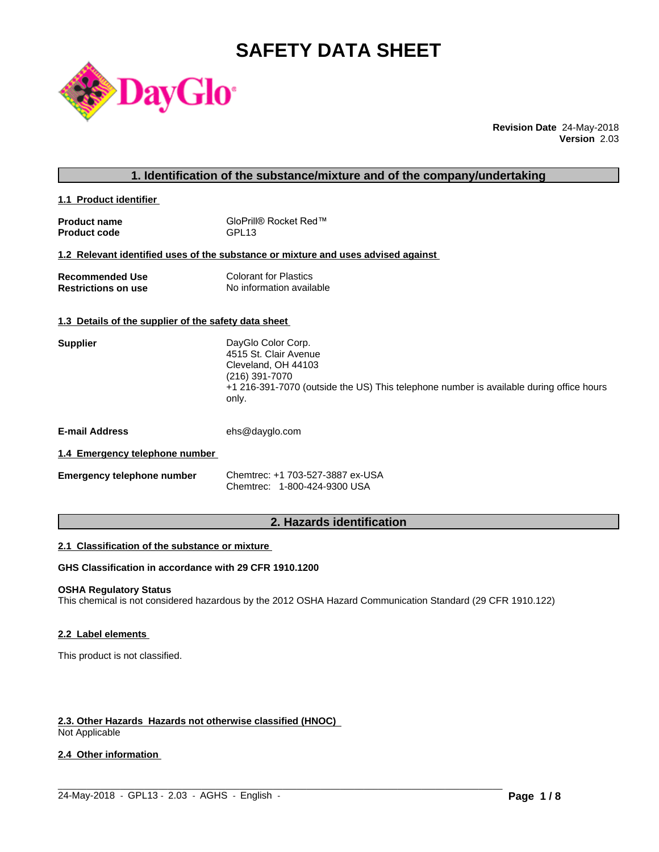# **SAFETY DATA SHEET**



**Revision Date** 24-May-2018 **Version** 2.03

## **1. Identification of the substance/mixture and of the company/undertaking**

**1.1 Product identifier** 

| <b>Product name</b> | GloPrill® Rocket Red™ |
|---------------------|-----------------------|
| <b>Product code</b> | GPL <sub>13</sub>     |

## **1.2 Relevant identified uses of the substance or mixture and uses advised against**

| <b>Recommended Use</b>     | <b>Colorant for Plastics</b> |
|----------------------------|------------------------------|
| <b>Restrictions on use</b> | No information available     |

## **1.3 Details of the supplier of the safety data sheet**

| <b>Supplier</b> | DayGlo Color Corp.                                                                               |
|-----------------|--------------------------------------------------------------------------------------------------|
|                 | 4515 St. Clair Avenue                                                                            |
|                 | Cleveland, OH 44103                                                                              |
|                 | (216) 391-7070                                                                                   |
|                 | +1 216-391-7070 (outside the US) This telephone number is available during office hours<br>only. |
|                 |                                                                                                  |

**E-mail Address** ehs@dayglo.com

## **1.4 Emergency telephone number**

| <b>Emergency telephone number</b> | Chemtrec: +1 703-527-3887 ex-USA |
|-----------------------------------|----------------------------------|
|                                   | Chemtrec: 1-800-424-9300 USA     |

## **2. Hazards identification**

## **2.1 Classification of the substance or mixture**

## **GHS Classification in accordance with 29 CFR 1910.1200**

## **OSHA Regulatory Status**

This chemical is not considered hazardous by the 2012 OSHA Hazard Communication Standard (29 CFR 1910.122)

## **2.2 Label elements**

This product is not classified.

## **2.3. Other Hazards Hazards not otherwise classified (HNOC)**

Not Applicable

## **2.4 Other information**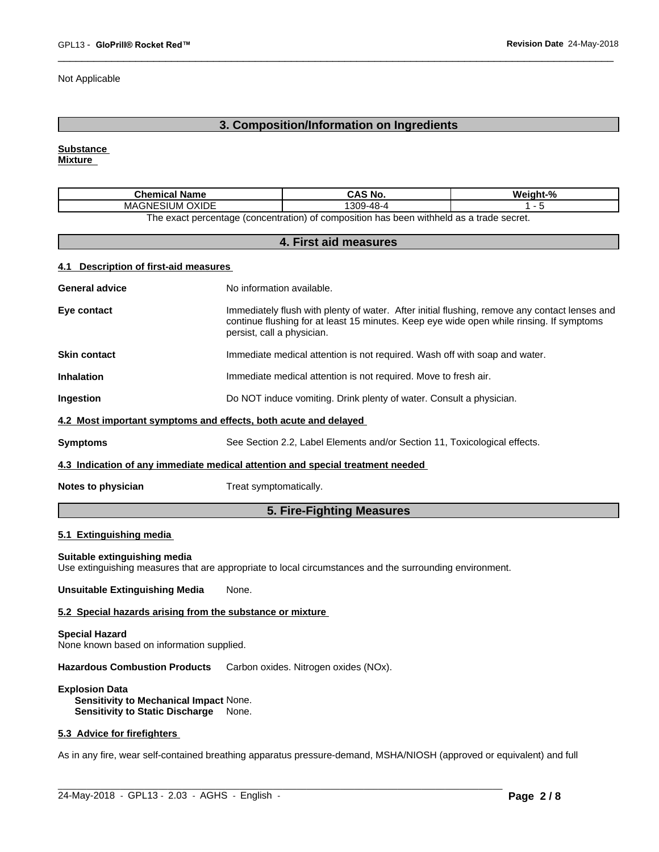Not Applicable

## **3. Composition/Information on Ingredients**

**Substance** 

**Mixture**

| Chemical<br>Name                                                                        | CAS No.    | $\mathbf{a}$<br>Weight-% |  |
|-----------------------------------------------------------------------------------------|------------|--------------------------|--|
| <b>OXIDE</b><br>`'<br>MAGNE<br>SIUM                                                     | 4-48-9∪ں . |                          |  |
| The exact persontage (concentration) of composition has been withhold as a trade secret |            |                          |  |

The exact percentage (concentration) of composition has been withheld as a trade secret.

## **4. First aid measures**

## **4.1 Description of first-aid measures**

|                       | 5. Fire-Fighting Measures                                                                                                                                                                                               |
|-----------------------|-------------------------------------------------------------------------------------------------------------------------------------------------------------------------------------------------------------------------|
| Notes to physician    | Treat symptomatically.                                                                                                                                                                                                  |
|                       | 4.3 Indication of any immediate medical attention and special treatment needed                                                                                                                                          |
| <b>Symptoms</b>       | See Section 2.2, Label Elements and/or Section 11, Toxicological effects.                                                                                                                                               |
|                       | 4.2 Most important symptoms and effects, both acute and delayed                                                                                                                                                         |
| Ingestion             | Do NOT induce vomiting. Drink plenty of water. Consult a physician.                                                                                                                                                     |
| <b>Inhalation</b>     | Immediate medical attention is not required. Move to fresh air.                                                                                                                                                         |
| <b>Skin contact</b>   | Immediate medical attention is not required. Wash off with soap and water.                                                                                                                                              |
| Eye contact           | Immediately flush with plenty of water. After initial flushing, remove any contact lenses and<br>continue flushing for at least 15 minutes. Keep eye wide open while rinsing. If symptoms<br>persist, call a physician. |
| <b>General advice</b> | No information available.                                                                                                                                                                                               |
|                       |                                                                                                                                                                                                                         |

## **5.1 Extinguishing media**

### **Suitable extinguishing media**

Use extinguishing measures that are appropriate to local circumstances and the surrounding environment.

**Unsuitable Extinguishing Media** None.

### **5.2 Special hazards arising from the substance or mixture**

## **Special Hazard** None known based on information supplied.

**Hazardous Combustion Products** Carbon oxides. Nitrogen oxides (NOx).

**Explosion Data Sensitivity to Mechanical Impact** None. **Sensitivity to Static Discharge** None.

## **5.3 Advice for firefighters**

As in any fire, wear self-contained breathing apparatus pressure-demand, MSHA/NIOSH (approved or equivalent) and full

 $\_$  ,  $\_$  ,  $\_$  ,  $\_$  ,  $\_$  ,  $\_$  ,  $\_$  ,  $\_$  ,  $\_$  ,  $\_$  ,  $\_$  ,  $\_$  ,  $\_$  ,  $\_$  ,  $\_$  ,  $\_$  ,  $\_$  ,  $\_$  ,  $\_$  ,  $\_$  ,  $\_$  ,  $\_$  ,  $\_$  ,  $\_$  ,  $\_$  ,  $\_$  ,  $\_$  ,  $\_$  ,  $\_$  ,  $\_$  ,  $\_$  ,  $\_$  ,  $\_$  ,  $\_$  ,  $\_$  ,  $\_$  ,  $\_$  ,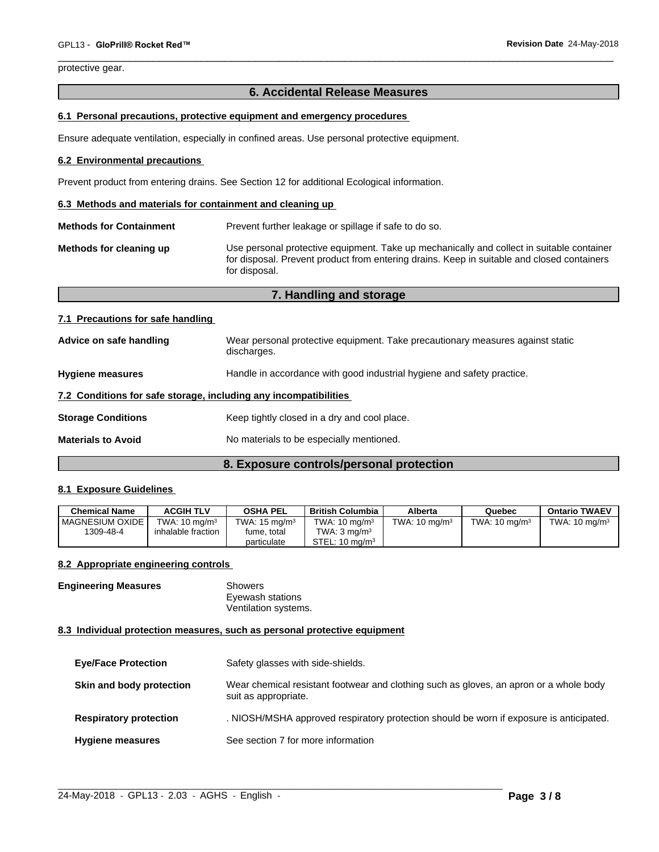protective gear.

## **6. Accidental Release Measures**

## **6.1 Personal precautions, protective equipment and emergency procedures**

Ensure adequate ventilation, especially in confined areas. Use personal protective equipment.

### **6.2 Environmental precautions**

Prevent product from entering drains. See Section 12 for additional Ecological information.

#### **6.3 Methods and materials for containment and cleaning up**

**Methods for Containment** Prevent further leakage or spillage if safe to do so.

**Methods for cleaning up** Use personal protective equipment. Take up mechanically and collect in suitable container for disposal. Prevent product from entering drains. Keep in suitable and closed containers for disposal.

## **7. Handling and storage**

## **7.1 Precautions for safe handling**

| Advice on safe handling                                          | Wear personal protective equipment. Take precautionary measures against static<br>discharges. |  |
|------------------------------------------------------------------|-----------------------------------------------------------------------------------------------|--|
| <b>Hygiene measures</b>                                          | Handle in accordance with good industrial hygiene and safety practice.                        |  |
| 7.2 Conditions for safe storage, including any incompatibilities |                                                                                               |  |
| <b>Storage Conditions</b>                                        | Keep tightly closed in a dry and cool place.                                                  |  |
| <b>Materials to Avoid</b>                                        | No materials to be especially mentioned.                                                      |  |

## **8. Exposure controls/personal protection**

## **8.1 Exposure Guidelines**

| <b>Chemical Name</b> | <b>ACGIH TLV</b>         | <b>OSHA PEL</b>          | British Columbia            | Alberta                  | Quebec                   | <b>Ontario TWAEV</b>     |
|----------------------|--------------------------|--------------------------|-----------------------------|--------------------------|--------------------------|--------------------------|
| I MAGNESIUM OXIDE    | TWA: $10 \text{ mg/m}^3$ | TWA: $15 \text{ mg/m}^3$ | TWA: $10 \text{ mg/m}^3$    | TWA: $10 \text{ mg/m}^3$ | TWA: $10 \text{ mg/m}^3$ | TWA: $10 \text{ ma/m}^3$ |
| 1309-48-4            | inhalable fraction       | fume, total              | $TWA$ : 3 mg/m <sup>3</sup> |                          |                          |                          |
|                      |                          | particulate              | STEL: $10 \text{ ma/m}^3$   |                          |                          |                          |

### **8.2 Appropriate engineering controls**

**Engineering Measures** Showers Eyewash stations Ventilation systems.

## **8.3 Individual protection measures, such as personal protective equipment**

| <b>Eye/Face Protection</b>    | Safety glasses with side-shields.                                                                              |
|-------------------------------|----------------------------------------------------------------------------------------------------------------|
| Skin and body protection      | Wear chemical resistant footwear and clothing such as gloves, an apron or a whole body<br>suit as appropriate. |
| <b>Respiratory protection</b> | . NIOSH/MSHA approved respiratory protection should be worn if exposure is anticipated.                        |
| <b>Hygiene measures</b>       | See section 7 for more information                                                                             |

 $\_$  ,  $\_$  ,  $\_$  ,  $\_$  ,  $\_$  ,  $\_$  ,  $\_$  ,  $\_$  ,  $\_$  ,  $\_$  ,  $\_$  ,  $\_$  ,  $\_$  ,  $\_$  ,  $\_$  ,  $\_$  ,  $\_$  ,  $\_$  ,  $\_$  ,  $\_$  ,  $\_$  ,  $\_$  ,  $\_$  ,  $\_$  ,  $\_$  ,  $\_$  ,  $\_$  ,  $\_$  ,  $\_$  ,  $\_$  ,  $\_$  ,  $\_$  ,  $\_$  ,  $\_$  ,  $\_$  ,  $\_$  ,  $\_$  ,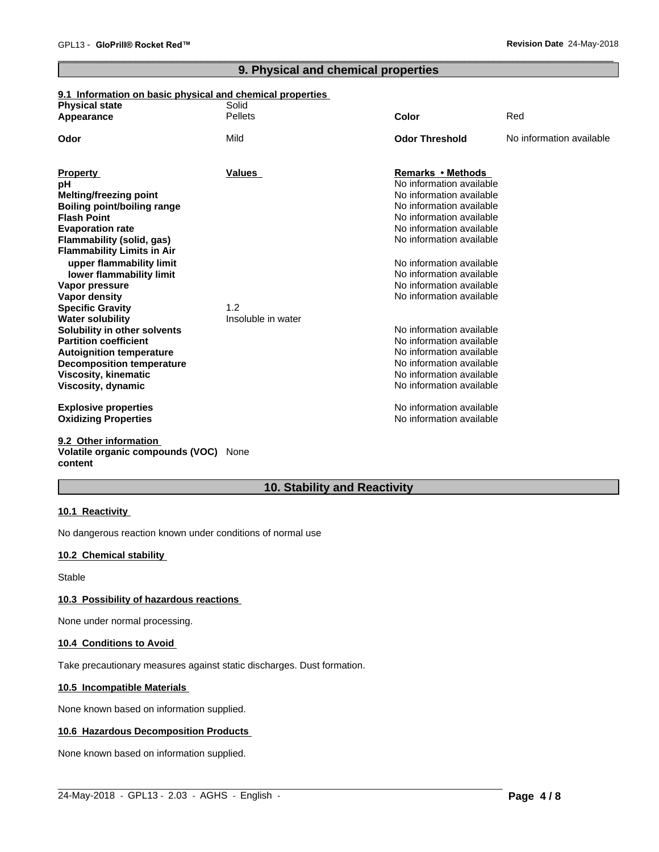## **9. Physical and chemical properties**

## **9.1 Information on basic physical and chemical properties**

| <b>Physical state</b>              | Solid              |                          |                          |
|------------------------------------|--------------------|--------------------------|--------------------------|
| Appearance                         | <b>Pellets</b>     | Color                    | Red                      |
| Odor                               | Mild               | <b>Odor Threshold</b>    | No information available |
|                                    |                    |                          |                          |
| <b>Property</b>                    | Values             | Remarks • Methods        |                          |
| рH                                 |                    | No information available |                          |
| <b>Melting/freezing point</b>      |                    | No information available |                          |
| <b>Boiling point/boiling range</b> |                    | No information available |                          |
| <b>Flash Point</b>                 |                    | No information available |                          |
| <b>Evaporation rate</b>            |                    | No information available |                          |
| Flammability (solid, gas)          |                    | No information available |                          |
| <b>Flammability Limits in Air</b>  |                    |                          |                          |
| upper flammability limit           |                    | No information available |                          |
| lower flammability limit           |                    | No information available |                          |
| Vapor pressure                     |                    | No information available |                          |
| Vapor density                      |                    | No information available |                          |
| <b>Specific Gravity</b>            | 1.2                |                          |                          |
| <b>Water solubility</b>            | Insoluble in water |                          |                          |
| Solubility in other solvents       |                    | No information available |                          |
| <b>Partition coefficient</b>       |                    | No information available |                          |
| <b>Autoignition temperature</b>    |                    | No information available |                          |
| <b>Decomposition temperature</b>   |                    | No information available |                          |
| <b>Viscosity, kinematic</b>        |                    | No information available |                          |
| Viscosity, dynamic                 |                    | No information available |                          |
| <b>Explosive properties</b>        |                    | No information available |                          |
| <b>Oxidizing Properties</b>        |                    | No information available |                          |
| 9.2 Other information              |                    |                          |                          |

## **Volatile organic compounds (VOC)** None **content**

## **10. Stability and Reactivity**

 $\_$  ,  $\_$  ,  $\_$  ,  $\_$  ,  $\_$  ,  $\_$  ,  $\_$  ,  $\_$  ,  $\_$  ,  $\_$  ,  $\_$  ,  $\_$  ,  $\_$  ,  $\_$  ,  $\_$  ,  $\_$  ,  $\_$  ,  $\_$  ,  $\_$  ,  $\_$  ,  $\_$  ,  $\_$  ,  $\_$  ,  $\_$  ,  $\_$  ,  $\_$  ,  $\_$  ,  $\_$  ,  $\_$  ,  $\_$  ,  $\_$  ,  $\_$  ,  $\_$  ,  $\_$  ,  $\_$  ,  $\_$  ,  $\_$  ,

## **10.1 Reactivity**

No dangerous reaction known under conditions of normal use

## **10.2 Chemical stability**

Stable

## **10.3 Possibility of hazardous reactions**

None under normal processing.

## **10.4 Conditions to Avoid**

Take precautionary measures against static discharges. Dust formation.

## **10.5 Incompatible Materials**

None known based on information supplied.

## **10.6 Hazardous Decomposition Products**

None known based on information supplied.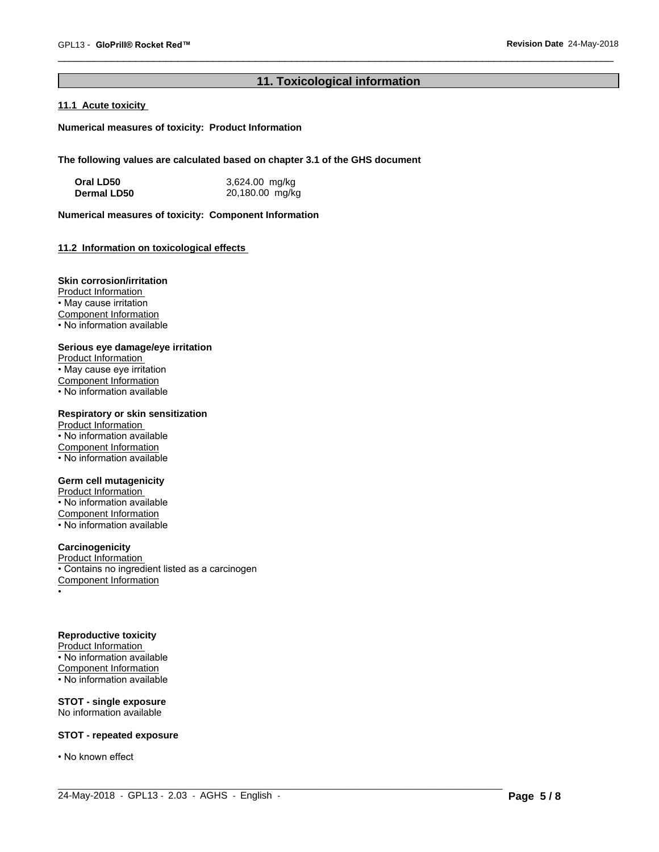## **11. Toxicological information**

 $\_$  ,  $\_$  ,  $\_$  ,  $\_$  ,  $\_$  ,  $\_$  ,  $\_$  ,  $\_$  ,  $\_$  ,  $\_$  ,  $\_$  ,  $\_$  ,  $\_$  ,  $\_$  ,  $\_$  ,  $\_$  ,  $\_$  ,  $\_$  ,  $\_$  ,  $\_$  ,  $\_$  ,  $\_$  ,  $\_$  ,  $\_$  ,  $\_$  ,  $\_$  ,  $\_$  ,  $\_$  ,  $\_$  ,  $\_$  ,  $\_$  ,  $\_$  ,  $\_$  ,  $\_$  ,  $\_$  ,  $\_$  ,  $\_$  ,

## **11.1 Acute toxicity**

**Numerical measures of toxicity: Product Information**

**The following values are calculated based on chapter 3.1 of the GHS document**

| Oral LD50   | 3,624.00 mg/kg  |
|-------------|-----------------|
| Dermal LD50 | 20,180.00 mg/kg |

**Numerical measures of toxicity: Component Information**

## **11.2 Information on toxicologicaleffects**

## **Skin corrosion/irritation**

Product Information • May cause irritation Component Information • No information available

## **Serious eye damage/eye irritation**

Product Information • May cause eye irritation Component Information • No information available

## **Respiratory or skin sensitization**

Product Information • No information available Component Information  $\overline{\cdot}$  No information available

## **Germ cell mutagenicity**

Product Information • No information available Component Information • No information available

## **Carcinogenicity**

Product Information • Contains no ingredient listed as a carcinogen Component Information •

## **Reproductive toxicity**

Product Information • No information available Component Information • No information available

## **STOT - single exposure** No information available

## **STOT - repeated exposure**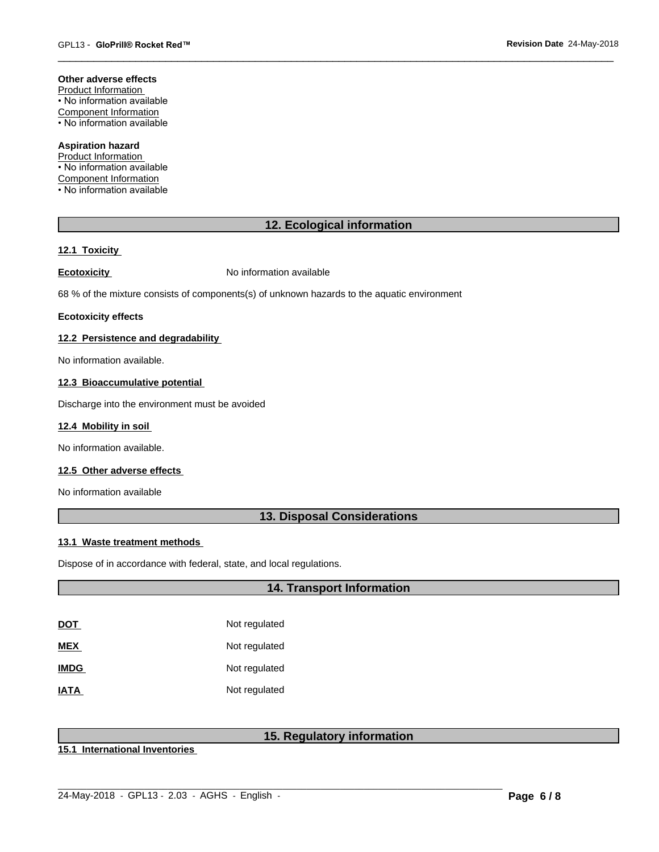## **Other adverse effects**

Product Information • No information available Component Information • No information available

## **Aspiration hazard**

Product Information • No information available Component Information • No information available

## **12. Ecological information**

## **12.1 Toxicity**

**Ecotoxicity No information available** 

68 % of the mixture consists of components(s) of unknown hazards to the aquatic environment

### **Ecotoxicity effects**

## **12.2 Persistence and degradability**

No information available.

### **12.3 Bioaccumulative potential**

Discharge into the environment must be avoided

## **12.4 Mobility in soil**

No information available.

## **12.5 Other adverse effects**

No information available

## **13. Disposal Considerations**

## **13.1 Waste treatment methods**

Dispose of in accordance with federal, state, and local regulations.

## **14. Transport Information**

| DOT         | Not regulated |
|-------------|---------------|
| MEX         | Not regulated |
| <b>IMDG</b> | Not regulated |
| IATA        | Not regulated |

## **15. Regulatory information**

 $\_$  ,  $\_$  ,  $\_$  ,  $\_$  ,  $\_$  ,  $\_$  ,  $\_$  ,  $\_$  ,  $\_$  ,  $\_$  ,  $\_$  ,  $\_$  ,  $\_$  ,  $\_$  ,  $\_$  ,  $\_$  ,  $\_$  ,  $\_$  ,  $\_$  ,  $\_$  ,  $\_$  ,  $\_$  ,  $\_$  ,  $\_$  ,  $\_$  ,  $\_$  ,  $\_$  ,  $\_$  ,  $\_$  ,  $\_$  ,  $\_$  ,  $\_$  ,  $\_$  ,  $\_$  ,  $\_$  ,  $\_$  ,  $\_$  ,

**15.1 International Inventories**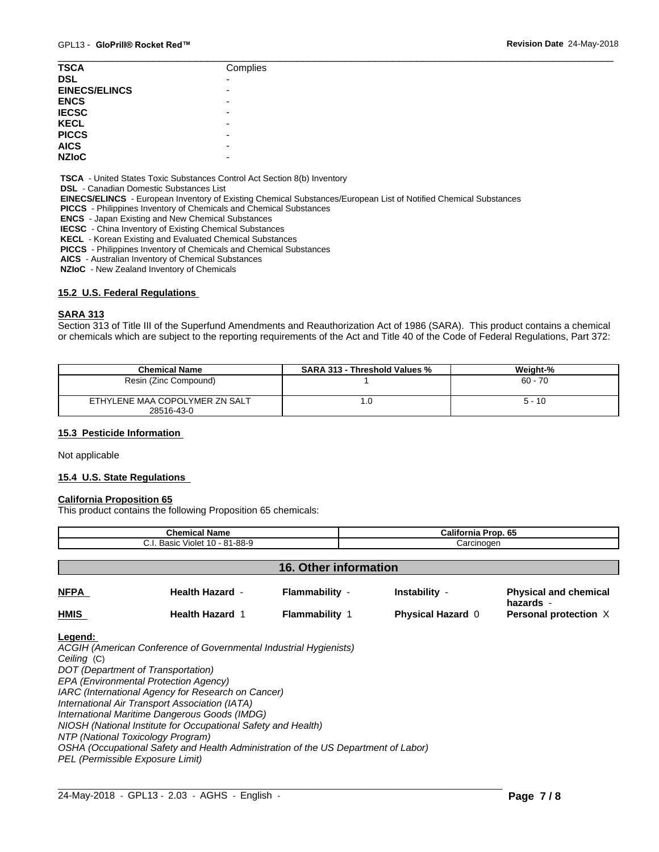| <b>TSCA</b>          | Complies                 |
|----------------------|--------------------------|
| <b>DSL</b>           | $\overline{\phantom{0}}$ |
| <b>EINECS/ELINCS</b> | $\overline{\phantom{0}}$ |
| <b>ENCS</b>          |                          |
| <b>IECSC</b>         |                          |
| <b>KECL</b>          |                          |
| <b>PICCS</b>         | -                        |
| <b>AICS</b>          | -                        |
| <b>NZIOC</b>         | -                        |
|                      |                          |

 **TSCA** - United States Toxic Substances Control Act Section 8(b) Inventory

 **DSL** - Canadian Domestic Substances List

 **EINECS/ELINCS** - European Inventory of Existing Chemical Substances/European List of Notified Chemical Substances

 **PICCS** - Philippines Inventory of Chemicals and Chemical Substances

 **ENCS** - Japan Existing and New Chemical Substances

 **IECSC** - China Inventory of Existing Chemical Substances

 **KECL** - Korean Existing and Evaluated Chemical Substances

 **PICCS** - Philippines Inventory of Chemicals and Chemical Substances

 **AICS** - Australian Inventory of Chemical Substances

 **NZIoC** - New Zealand Inventory of Chemicals

## **15.2 U.S. Federal Regulations**

### **SARA 313**

Section 313 of Title III of the Superfund Amendments and Reauthorization Act of 1986 (SARA). This product contains a chemical or chemicals which are subject to the reporting requirements of the Act and Title 40 of the Code of Federal Regulations, Part 372:

| <b>Chemical Name</b>           | <b>SARA 313 - Threshold Values %</b> | Weight-% |
|--------------------------------|--------------------------------------|----------|
| Resin (Zinc Compound)          |                                      | 60 - 70  |
| ETHYLENE MAA COPOLYMER ZN SALT | .u                                   | $5 - 10$ |
| 28516-43-0                     |                                      |          |

## **15.3 Pesticide Information**

Not applicable

## **15.4 U.S. State Regulations**

### **California Proposition 65**

This product contains the following Proposition 65 chemicals:

| <b>Chemical Name</b><br>C.I. Basic Violet 10 - 81-88-9 |                        |                       | California Prop. 65<br>Carcinogen |                                           |  |
|--------------------------------------------------------|------------------------|-----------------------|-----------------------------------|-------------------------------------------|--|
|                                                        |                        |                       |                                   |                                           |  |
| <b>16. Other information</b>                           |                        |                       |                                   |                                           |  |
| <b>NFPA</b>                                            | <b>Health Hazard -</b> | Flammability -        | Instability -                     | <b>Physical and chemical</b><br>hazards - |  |
| <b>HMIS</b>                                            | <b>Health Hazard 1</b> | <b>Flammability 1</b> | <b>Physical Hazard 0</b>          | Personal protection X                     |  |
|                                                        |                        |                       |                                   |                                           |  |

 $\_$  ,  $\_$  ,  $\_$  ,  $\_$  ,  $\_$  ,  $\_$  ,  $\_$  ,  $\_$  ,  $\_$  ,  $\_$  ,  $\_$  ,  $\_$  ,  $\_$  ,  $\_$  ,  $\_$  ,  $\_$  ,  $\_$  ,  $\_$  ,  $\_$  ,  $\_$  ,  $\_$  ,  $\_$  ,  $\_$  ,  $\_$  ,  $\_$  ,  $\_$  ,  $\_$  ,  $\_$  ,  $\_$  ,  $\_$  ,  $\_$  ,  $\_$  ,  $\_$  ,  $\_$  ,  $\_$  ,  $\_$  ,  $\_$  ,

#### **Legend:**

*ACGIH (American Conference of Governmental Industrial Hygienists) Ceiling* (C) *DOT (Department of Transportation) EPA (Environmental Protection Agency) IARC (International Agency for Research on Cancer) International Air Transport Association (IATA) International Maritime Dangerous Goods (IMDG) NIOSH (National Institute for Occupational Safety and Health) NTP (National Toxicology Program) OSHA (Occupational Safety and Health Administration of the US Department of Labor) PEL (Permissible Exposure Limit)*